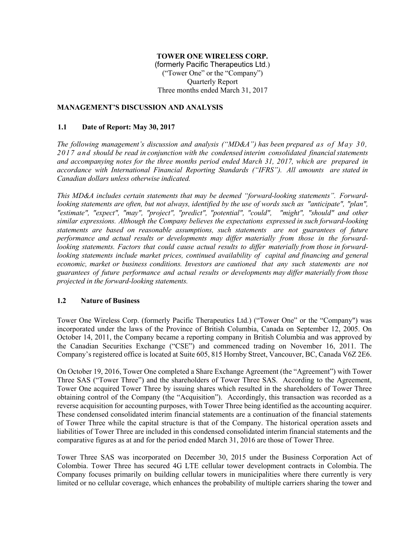# **TOWER ONE WIRELESS CORP.**

(formerly Pacific Therapeutics Ltd.) ("Tower One" or the "Company") Quarterly Report Three months ended March 31, 2017

## **MANAGEMENT'S DISCUSSION AND ANALYSIS**

#### **1.1 Date of Report: May 30, 2017**

*The following management's discussion and analysis ("MD&A") has been prepared as of May 30, 2017 and should be read in conjunction with the condensed interim consolidated financial statements and accompanying notes for the three months period ended March 31, 2017, which are prepared in accordance with International Financial Reporting Standards ("IFRS"). All amounts are stated in Canadian dollars unless otherwise indicated.*

*This MD&A includes certain statements that may be deemed "forward-looking statements". Forwardlooking statements are often, but not always, identified by the use of words such as "anticipate", "plan", "estimate", "expect", "may", "project", "predict", "potential", "could", "might", "should" and other similar expressions. Although the Company believes the expectations expressed in such forward-looking statements are based on reasonable assumptions, such statements are not guarantees of future performance and actual results or developments may differ materially from those in the forwardlooking statements. Factors that could cause actual results to differ materially from those in forwardlooking statements include market prices, continued availability of capital and financing and general economic, market or business conditions. Investors are cautioned that any such statements are not guarantees of future performance and actual results or developments may differ materially from those projected in the forward-looking statements.* 

## **1.2 Nature of Business**

Tower One Wireless Corp. (formerly Pacific Therapeutics Ltd.) ("Tower One" or the "Company") was incorporated under the laws of the Province of British Columbia, Canada on September 12, 2005. On October 14, 2011, the Company became a reporting company in British Columbia and was approved by the Canadian Securities Exchange ("CSE") and commenced trading on November 16, 2011. The Company's registered office is located at Suite 605, 815 Hornby Street, Vancouver, BC, Canada V6Z 2E6.

On October 19, 2016, Tower One completed a Share Exchange Agreement (the "Agreement") with Tower Three SAS ("Tower Three") and the shareholders of Tower Three SAS. According to the Agreement, Tower One acquired Tower Three by issuing shares which resulted in the shareholders of Tower Three obtaining control of the Company (the "Acquisition"). Accordingly, this transaction was recorded as a reverse acquisition for accounting purposes, with Tower Three being identified as the accounting acquirer. These condensed consolidated interim financial statements are a continuation of the financial statements of Tower Three while the capital structure is that of the Company. The historical operation assets and liabilities of Tower Three are included in this condensed consolidated interim financial statements and the comparative figures as at and for the period ended March 31, 2016 are those of Tower Three.

Tower Three SAS was incorporated on December 30, 2015 under the Business Corporation Act of Colombia. Tower Three has secured 4G LTE cellular tower development contracts in Colombia. The Company focuses primarily on building cellular towers in municipalities where there currently is very limited or no cellular coverage, which enhances the probability of multiple carriers sharing the tower and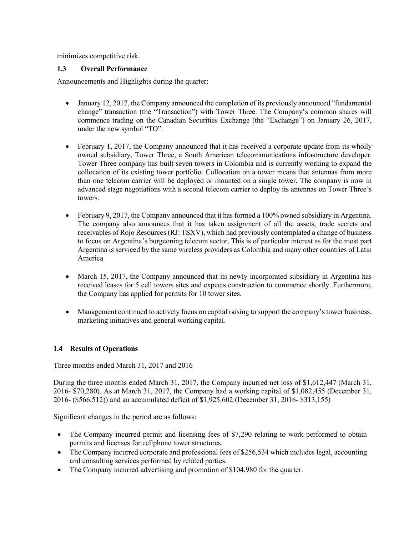minimizes competitive risk.

## **1.3 Overall Performance**

Announcements and Highlights during the quarter:

- January 12, 2017, the Company announced the completion of its previously announced "fundamental" change" transaction (the "Transaction") with Tower Three. The Company's common shares will commence trading on the Canadian Securities Exchange (the "Exchange") on January 26, 2017, under the new symbol "TO".
- February 1, 2017, the Company announced that it has received a corporate update from its wholly owned subsidiary, Tower Three, a South American telecommunications infrastructure developer. Tower Three company has built seven towers in Colombia and is currently working to expand the collocation of its existing tower portfolio. Collocation on a tower means that antennas from more than one telecom carrier will be deployed or mounted on a single tower. The company is now in advanced stage negotiations with a second telecom carrier to deploy its antennas on Tower Three's towers.
- February 9, 2017, the Company announced that it has formed a 100% owned subsidiary in Argentina. The company also announces that it has taken assignment of all the assets, trade secrets and receivables of Rojo Resources (RJ: TSXV), which had previously contemplated a change of business to focus on Argentina's burgeoning telecom sector. This is of particular interest as for the most part Argentina is serviced by the same wireless providers as Colombia and many other countries of Latin America
- March 15, 2017, the Company announced that its newly incorporated subsidiary in Argentina has received leases for 5 cell towers sites and expects construction to commence shortly. Furthermore, the Company has applied for permits for 10 tower sites.
- Management continued to actively focus on capital raising to support the company's tower business, marketing initiatives and general working capital.

# **1.4 Results of Operations**

## Three months ended March 31, 2017 and 2016

During the three months ended March 31, 2017, the Company incurred net loss of \$1,612,447 (March 31, 2016- \$70,280). As at March 31, 2017, the Company had a working capital of \$1,082,455 (December 31, 2016- (\$566,512)) and an accumulated deficit of \$1,925,602 (December 31, 2016- \$313,155)

Significant changes in the period are as follows:

- The Company incurred permit and licensing fees of \$7,290 relating to work performed to obtain permits and licenses for cellphone tower structures.
- The Company incurred corporate and professional fees of \$256,534 which includes legal, accounting and consulting services performed by related parties.
- The Company incurred advertising and promotion of \$104,980 for the quarter.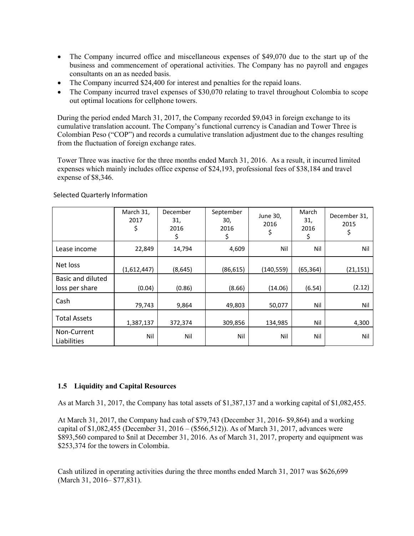- The Company incurred office and miscellaneous expenses of \$49,070 due to the start up of the business and commencement of operational activities. The Company has no payroll and engages consultants on an as needed basis.
- The Company incurred \$24,400 for interest and penalties for the repaid loans.
- The Company incurred travel expenses of \$30,070 relating to travel throughout Colombia to scope out optimal locations for cellphone towers.

During the period ended March 31, 2017, the Company recorded \$9,043 in foreign exchange to its cumulative translation account. The Company's functional currency is Canadian and Tower Three is Colombian Peso ("COP") and records a cumulative translation adjustment due to the changes resulting from the fluctuation of foreign exchange rates.

Tower Three was inactive for the three months ended March 31, 2016. As a result, it incurred limited expenses which mainly includes office expense of \$24,193, professional fees of \$38,184 and travel expense of \$8,346.

|                                            | March 31,<br>2017<br>\$ | December<br>31,<br>2016<br>\$ | September<br>30,<br>2016<br>\$ | June 30,<br>2016<br>\$ | March<br>31,<br>2016<br>\$ | December 31,<br>2015<br>\$ |
|--------------------------------------------|-------------------------|-------------------------------|--------------------------------|------------------------|----------------------------|----------------------------|
| Lease income                               | 22,849                  | 14,794                        | 4,609                          | Nil                    | Nil                        | Nil                        |
| Net loss                                   | (1,612,447)             | (8,645)                       | (86, 615)                      | (140, 559)             | (65, 364)                  | (21, 151)                  |
| <b>Basic and diluted</b><br>loss per share | (0.04)                  | (0.86)                        | (8.66)                         | (14.06)                | (6.54)                     | (2.12)                     |
| Cash                                       | 79,743                  | 9,864                         | 49,803                         | 50,077                 | Nil                        | Nil                        |
| <b>Total Assets</b>                        | 1,387,137               | 372,374                       | 309,856                        | 134,985                | Nil                        | 4,300                      |
| Non-Current<br>Liabilities                 | Nil                     | Nil                           | Nil                            | Nil                    | Nil                        | Nil                        |

Selected Quarterly Information

# **1.5 Liquidity and Capital Resources**

As at March 31, 2017, the Company has total assets of \$1,387,137 and a working capital of \$1,082,455.

At March 31, 2017, the Company had cash of \$79,743 (December 31, 2016- \$9,864) and a working capital of \$1,082,455 (December 31, 2016 – (\$566,512)). As of March 31, 2017, advances were \$893,560 compared to \$nil at December 31, 2016. As of March 31, 2017, property and equipment was \$253,374 for the towers in Colombia.

Cash utilized in operating activities during the three months ended March 31, 2017 was \$626,699 (March 31, 2016– \$77,831).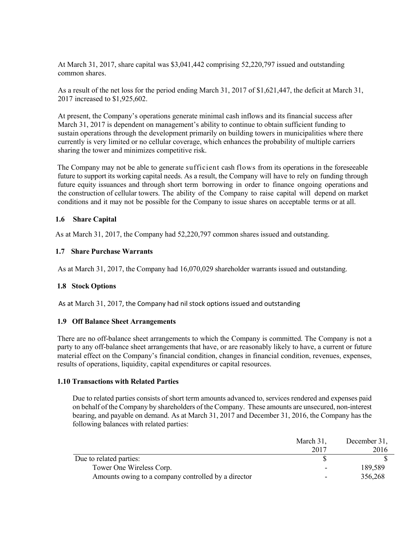At March 31, 2017, share capital was \$3,041,442 comprising 52,220,797 issued and outstanding common shares.

As a result of the net loss for the period ending March 31, 2017 of \$1,621,447, the deficit at March 31, 2017 increased to \$1,925,602.

At present, the Company's operations generate minimal cash inflows and its financial success after March 31, 2017 is dependent on management's ability to continue to obtain sufficient funding to sustain operations through the development primarily on building towers in municipalities where there currently is very limited or no cellular coverage, which enhances the probability of multiple carriers sharing the tower and minimizes competitive risk.

The Company may not be able to generate sufficient cash flows from its operations in the foreseeable future to support its working capital needs. As a result, the Company will have to rely on funding through future equity issuances and through short term borrowing in order to finance ongoing operations and the construction of cellular towers. The ability of the Company to raise capital will depend on market conditions and it may not be possible for the Company to issue shares on acceptable terms or at all.

## **1.6 Share Capital**

As at March 31, 2017, the Company had 52,220,797 common shares issued and outstanding.

## **1.7 Share Purchase Warrants**

As at March 31, 2017, the Company had 16,070,029 shareholder warrants issued and outstanding.

# **1.8 Stock Options**

As at March 31, 2017, the Company had nil stock options issued and outstanding

## **1.9 Off Balance Sheet Arrangements**

There are no off-balance sheet arrangements to which the Company is committed. The Company is not a party to any off-balance sheet arrangements that have, or are reasonably likely to have, a current or future material effect on the Company's financial condition, changes in financial condition, revenues, expenses, results of operations, liquidity, capital expenditures or capital resources.

## **1.10 Transactions with Related Parties**

Due to related parties consists of short term amounts advanced to, services rendered and expenses paid on behalf of the Company by shareholders of the Company. These amounts are unsecured, non-interest bearing, and payable on demand. As at March 31, 2017 and December 31, 2016, the Company has the following balances with related parties:

|                                                     | March 31, | December 31, |
|-----------------------------------------------------|-----------|--------------|
|                                                     | 2017      | 2016         |
| Due to related parties:                             |           |              |
| Tower One Wireless Corp.                            |           | 189,589      |
| Amounts owing to a company controlled by a director |           | 356,268      |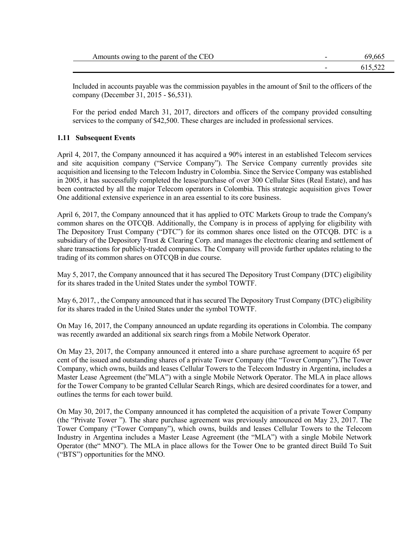| CEC<br>Amounts owing.<br>to the parent<br>of the | $\overline{\phantom{0}}$ | nu.<br>-66. |
|--------------------------------------------------|--------------------------|-------------|
|                                                  | $\overline{\phantom{0}}$ |             |

Included in accounts payable was the commission payables in the amount of \$nil to the officers of the company (December 31, 2015 - \$6,531).

For the period ended March 31, 2017, directors and officers of the company provided consulting services to the company of \$42,500. These charges are included in professional services.

## **1.11 Subsequent Events**

April 4, 2017, the Company announced it has acquired a 90% interest in an established Telecom services and site acquisition company ("Service Company"). The Service Company currently provides site acquisition and licensing to the Telecom Industry in Colombia. Since the Service Company was established in 2005, it has successfully completed the lease/purchase of over 300 Cellular Sites (Real Estate), and has been contracted by all the major Telecom operators in Colombia. This strategic acquisition gives Tower One additional extensive experience in an area essential to its core business.

April 6, 2017, the Company announced that it has applied to OTC Markets Group to trade the Company's common shares on the OTCQB. Additionally, the Company is in process of applying for eligibility with The Depository Trust Company ("DTC") for its common shares once listed on the OTCQB. DTC is a subsidiary of the Depository Trust & Clearing Corp. and manages the electronic clearing and settlement of share transactions for publicly-traded companies. The Company will provide further updates relating to the trading of its common shares on OTCQB in due course.

May 5, 2017, the Company announced that it has secured The Depository Trust Company (DTC) eligibility for its shares traded in the United States under the symbol TOWTF.

May 6, 2017, , the Company announced that it has secured The Depository Trust Company (DTC) eligibility for its shares traded in the United States under the symbol TOWTF.

On May 16, 2017, the Company announced an update regarding its operations in Colombia. The company was recently awarded an additional six search rings from a Mobile Network Operator.

On May 23, 2017, the Company announced it entered into a share purchase agreement to acquire 65 per cent of the issued and outstanding shares of a private Tower Company (the "Tower Company").The Tower Company, which owns, builds and leases Cellular Towers to the Telecom Industry in Argentina, includes a Master Lease Agreement (the"MLA") with a single Mobile Network Operator. The MLA in place allows for the Tower Company to be granted Cellular Search Rings, which are desired coordinates for a tower, and outlines the terms for each tower build.

On May 30, 2017, the Company announced it has completed the acquisition of a private Tower Company (the "Private Tower "). The share purchase agreement was previously announced on May 23, 2017. The Tower Company ("Tower Company"), which owns, builds and leases Cellular Towers to the Telecom Industry in Argentina includes a Master Lease Agreement (the "MLA") with a single Mobile Network Operator (the" MNO"). The MLA in place allows for the Tower One to be granted direct Build To Suit ("BTS") opportunities for the MNO.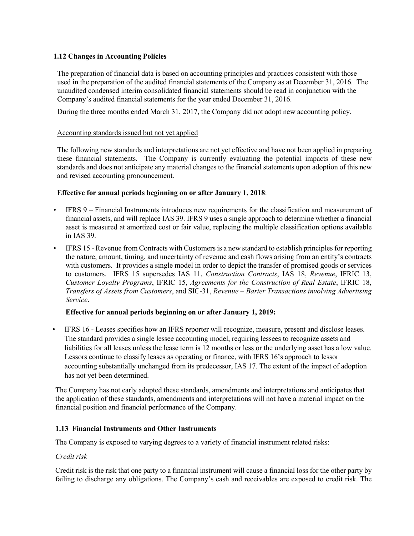## **1.12 Changes in Accounting Policies**

The preparation of financial data is based on accounting principles and practices consistent with those used in the preparation of the audited financial statements of the Company as at December 31, 2016. The unaudited condensed interim consolidated financial statements should be read in conjunction with the Company's audited financial statements for the year ended December 31, 2016.

During the three months ended March 31, 2017, the Company did not adopt new accounting policy.

## Accounting standards issued but not yet applied

The following new standards and interpretations are not yet effective and have not been applied in preparing these financial statements. The Company is currently evaluating the potential impacts of these new standards and does not anticipate any material changes to the financial statements upon adoption of this new and revised accounting pronouncement.

## **Effective for annual periods beginning on or after January 1, 2018**:

- IFRS 9 Financial Instruments introduces new requirements for the classification and measurement of financial assets, and will replace IAS 39. IFRS 9 uses a single approach to determine whether a financial asset is measured at amortized cost or fair value, replacing the multiple classification options available in IAS 39.
- IFRS 15 Revenue from Contracts with Customers is a new standard to establish principles for reporting the nature, amount, timing, and uncertainty of revenue and cash flows arising from an entity's contracts with customers. It provides a single model in order to depict the transfer of promised goods or services to customers. IFRS 15 supersedes IAS 11, *Construction Contracts*, IAS 18, *Revenue*, IFRIC 13, *Customer Loyalty Programs*, IFRIC 15, *Agreements for the Construction of Real Estate*, IFRIC 18, *Transfers of Assets from Customers*, and SIC-31, *Revenue – Barter Transactions involving Advertising Service*.

## **Effective for annual periods beginning on or after January 1, 2019:**

• IFRS 16 - Leases specifies how an IFRS reporter will recognize, measure, present and disclose leases. The standard provides a single lessee accounting model, requiring lessees to recognize assets and liabilities for all leases unless the lease term is 12 months or less or the underlying asset has a low value. Lessors continue to classify leases as operating or finance, with IFRS 16's approach to lessor accounting substantially unchanged from its predecessor, IAS 17. The extent of the impact of adoption has not yet been determined.

The Company has not early adopted these standards, amendments and interpretations and anticipates that the application of these standards, amendments and interpretations will not have a material impact on the financial position and financial performance of the Company.

## **1.13 Financial Instruments and Other Instruments**

The Company is exposed to varying degrees to a variety of financial instrument related risks:

## *Credit risk*

Credit risk is the risk that one party to a financial instrument will cause a financial loss for the other party by failing to discharge any obligations. The Company's cash and receivables are exposed to credit risk. The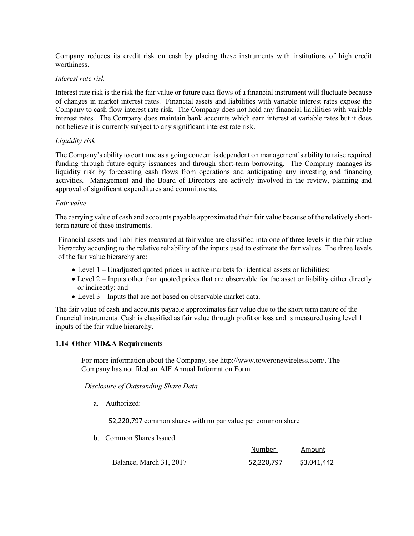Company reduces its credit risk on cash by placing these instruments with institutions of high credit worthiness.

#### *Interest rate risk*

Interest rate risk is the risk the fair value or future cash flows of a financial instrument will fluctuate because of changes in market interest rates. Financial assets and liabilities with variable interest rates expose the Company to cash flow interest rate risk. The Company does not hold any financial liabilities with variable interest rates. The Company does maintain bank accounts which earn interest at variable rates but it does not believe it is currently subject to any significant interest rate risk.

#### *Liquidity risk*

The Company's ability to continue as a going concern is dependent on management's ability to raise required funding through future equity issuances and through short-term borrowing. The Company manages its liquidity risk by forecasting cash flows from operations and anticipating any investing and financing activities. Management and the Board of Directors are actively involved in the review, planning and approval of significant expenditures and commitments.

#### *Fair value*

The carrying value of cash and accounts payable approximated their fair value because of the relatively shortterm nature of these instruments.

Financial assets and liabilities measured at fair value are classified into one of three levels in the fair value hierarchy according to the relative reliability of the inputs used to estimate the fair values. The three levels of the fair value hierarchy are:

- Level 1 Unadjusted quoted prices in active markets for identical assets or liabilities;
- Level 2 Inputs other than quoted prices that are observable for the asset or liability either directly or indirectly; and
- Level 3 Inputs that are not based on observable market data.

The fair value of cash and accounts payable approximates fair value due to the short term nature of the financial instruments. Cash is classified as fair value through profit or loss and is measured using level 1 inputs of the fair value hierarchy.

## **1.14 Other MD&A Requirements**

For more information about the Company, see http://www.toweronewireless.com/. The Company has not filed an AIF Annual Information Form.

 *Disclosure of Outstanding Share Data*

a. Authorized:

52,220,797 common shares with no par value per common share

b. Common Shares Issued:

|                         | Number     | Amount      |
|-------------------------|------------|-------------|
| Balance, March 31, 2017 | 52.220.797 | \$3,041,442 |